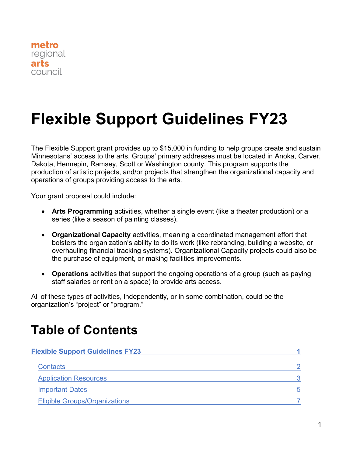<span id="page-0-0"></span>

# **Flexible Support Guidelines FY23**

The Flexible Support grant provides up to \$15,000 in funding to help groups create and sustain Minnesotans' access to the arts. Groups' primary addresses must be located in Anoka, Carver, Dakota, Hennepin, Ramsey, Scott or Washington county. This program supports the production of artistic projects, and/or projects that strengthen the organizational capacity and operations of groups providing access to the arts.

Your grant proposal could include:

- **Arts Programming** activities, whether a single event (like a theater production) or a series (like a season of painting classes).
- **Organizational Capacity** activities, meaning a coordinated management effort that bolsters the organization's ability to do its work (like rebranding, building a website, or overhauling financial tracking systems). Organizational Capacity projects could also be the purchase of equipment, or making facilities improvements.
- **Operations** activities that support the ongoing operations of a group (such as paying staff salaries or rent on a space) to provide arts access.

All of these types of activities, independently, or in some combination, could be the organization's "project" or "program."

### **Table of Contents**

| <b>Flexible Support Guidelines FY23</b> |    |
|-----------------------------------------|----|
| <b>Contacts</b>                         |    |
| <b>Application Resources</b>            |    |
| <b>Important Dates</b>                  | Б. |
| <b>Eligible Groups/Organizations</b>    |    |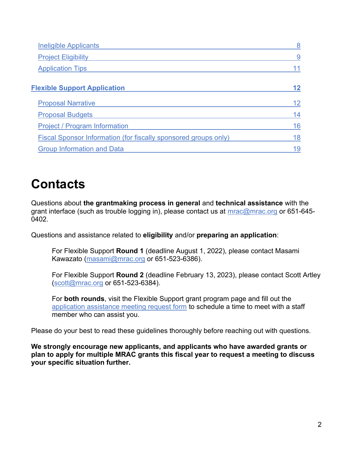| <b>Ineligible Applicants</b>                                    | 8  |
|-----------------------------------------------------------------|----|
| <b>Project Eligibility</b>                                      | 9  |
| <b>Application Tips</b>                                         |    |
| <b>Flexible Support Application</b>                             | 12 |
| <b>Proposal Narrative</b>                                       | 12 |
| <b>Proposal Budgets</b>                                         | 14 |
| <b>Project / Program Information</b>                            | 16 |
| Fiscal Sponsor Information (for fiscally sponsored groups only) | 18 |
| <b>Group Information and Data</b>                               | 19 |

# <span id="page-1-0"></span>**Contacts**

Questions about **the grantmaking process in general** and **technical assistance** with the grant interface (such as trouble logging in), please contact us at [mrac@mrac.org](mailto:mrac@mrac.org) or 651-645-0402.

Questions and assistance related to **eligibility** and/or **preparing an application**:

For Flexible Support **Round 1** (deadline August 1, 2022), please contact Masami Kawazato [\(masami@mrac.org](mailto:masami@mrac.org) or 651-523-6386).

For Flexible Support **Round 2** (deadline February 13, 2023), please contact Scott Artley [\(scott@mrac.org](mailto:scott@mrac.org) or 651-523-6384).

For **both rounds**, visit the Flexible Support grant program page and fill out the [application assistance meeting request form](https://forms.gle/yrqNN2dtLrETx8Wc9) to schedule a time to meet with a staff member who can assist you.

Please do your best to read these guidelines thoroughly before reaching out with questions.

<span id="page-1-1"></span>**We strongly encourage new applicants, and applicants who have awarded grants or plan to apply for multiple MRAC grants this fiscal year to request a meeting to discuss your specific situation further.**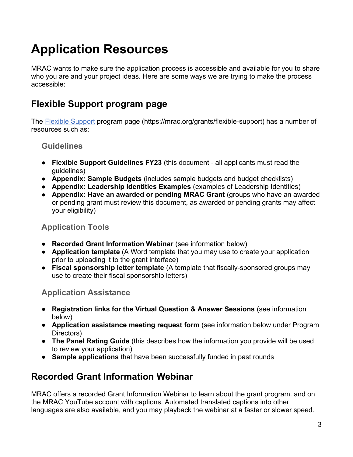# **Application Resources**

MRAC wants to make sure the application process is accessible and available for you to share who you are and your project ideas. Here are some ways we are trying to make the process accessible:

#### **Flexible Support program page**

The [Flexible Support](https://mrac.org/grants/flexible-support) program page (https://mrac.org/grants/flexible-support) has a number of resources such as:

#### **Guidelines**

- **Flexible Support Guidelines FY23** (this document all applicants must read the guidelines)
- **Appendix: Sample Budgets** (includes sample budgets and budget checklists)
- **Appendix: Leadership Identities Examples** (examples of Leadership Identities)
- **Appendix: Have an awarded or pending MRAC Grant** (groups who have an awarded or pending grant must review this document, as awarded or pending grants may affect your eligibility)

#### **Application Tools**

- **Recorded Grant Information Webinar** (see information below)
- **Application template** (A Word template that you may use to create your application prior to uploading it to the grant interface)
- **Fiscal sponsorship letter template** (A template that fiscally-sponsored groups may use to create their fiscal sponsorship letters)

#### **Application Assistance**

- **Registration links for the Virtual Question & Answer Sessions** (see information below)
- **Application assistance meeting request form** (see information below under Program Directors)
- **The Panel Rating Guide** (this describes how the information you provide will be used to review your application)
- **Sample applications** that have been successfully funded in past rounds

### **Recorded Grant Information Webinar**

MRAC offers a recorded Grant Information Webinar to learn about the grant program. and on the MRAC YouTube account with captions. Automated translated captions into other languages are also available, and you may playback the webinar at a faster or slower speed.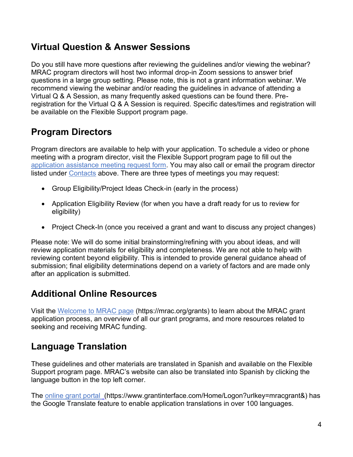#### **Virtual Question & Answer Sessions**

Do you still have more questions after reviewing the guidelines and/or viewing the webinar? MRAC program directors will host two informal drop-in Zoom sessions to answer brief questions in a large group setting. Please note, this is not a grant information webinar. We recommend viewing the webinar and/or reading the guidelines in advance of attending a Virtual Q & A Session, as many frequently asked questions can be found there. Preregistration for the Virtual Q & A Session is required. Specific dates/times and registration will be available on the Flexible Support program page.

### **Program Directors**

Program directors are available to help with your application. To schedule a video or phone meeting with a program director, visit the Flexible Support program page to fill out the [application assistance meeting request form.](https://forms.gle/yrqNN2dtLrETx8Wc9) You may also call or email the program director listed under [Contacts](#page-1-0) above. There are three types of meetings you may request:

- Group Eligibility/Project Ideas Check-in (early in the process)
- Application Eligibility Review (for when you have a draft ready for us to review for eligibility)
- Project Check-In (once you received a grant and want to discuss any project changes)

Please note: We will do some initial brainstorming/refining with you about ideas, and will review application materials for eligibility and completeness. We are not able to help with reviewing content beyond eligibility. This is intended to provide general guidance ahead of submission; final eligibility determinations depend on a variety of factors and are made only after an application is submitted.

#### **Additional Online Resources**

Visit the [Welcome to MRAC page](https://mrac.org/grants/) (https://mrac.org/grants) to learn about the MRAC grant application process, an overview of all our grant programs, and more resources related to seeking and receiving MRAC funding.

#### **Language Translation**

These guidelines and other materials are translated in Spanish and available on the Flexible Support program page. MRAC's website can also be translated into Spanish by clicking the language button in the top left corner.

The [online grant portal](https://www.grantinterface.com/Home/Logon?urlkey=mracgrant&) (https://www.grantinterface.com/Home/Logon?urlkey=mracgrant&) has the Google Translate feature to enable application translations in over 100 languages.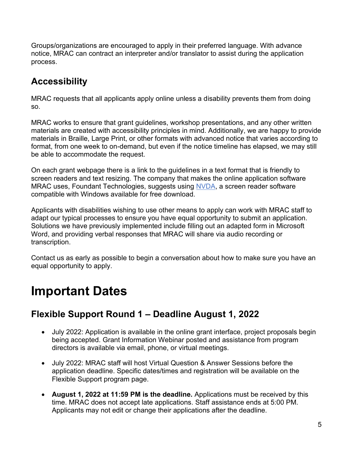Groups/organizations are encouraged to apply in their preferred language. With advance notice, MRAC can contract an interpreter and/or translator to assist during the application process.

### **Accessibility**

MRAC requests that all applicants apply online unless a disability prevents them from doing so.

MRAC works to ensure that grant guidelines, workshop presentations, and any other written materials are created with accessibility principles in mind. Additionally, we are happy to provide materials in Braille, Large Print, or other formats with advanced notice that varies according to format, from one week to on-demand, but even if the notice timeline has elapsed, we may still be able to accommodate the request.

On each grant webpage there is a link to the guidelines in a text format that is friendly to screen readers and text resizing. The company that makes the online application software MRAC uses, Foundant Technologies, suggests using [NVDA,](https://www.nvaccess.org/about-nvda/) a screen reader software compatible with Windows available for free download.

Applicants with disabilities wishing to use other means to apply can work with MRAC staff to adapt our typical processes to ensure you have equal opportunity to submit an application. Solutions we have previously implemented include filling out an adapted form in Microsoft Word, and providing verbal responses that MRAC will share via audio recording or transcription.

Contact us as early as possible to begin a conversation about how to make sure you have an equal opportunity to apply.

# <span id="page-4-0"></span>**Important Dates**

#### **Flexible Support Round 1 – Deadline August 1, 2022**

- July 2022: Application is available in the online grant interface, project proposals begin being accepted. Grant Information Webinar posted and assistance from program directors is available via email, phone, or virtual meetings.
- July 2022: MRAC staff will host Virtual Question & Answer Sessions before the application deadline. Specific dates/times and registration will be available on the Flexible Support program page.
- **August 1, 2022 at 11:59 PM is the deadline.** Applications must be received by this time. MRAC does not accept late applications. Staff assistance ends at 5:00 PM. Applicants may not edit or change their applications after the deadline.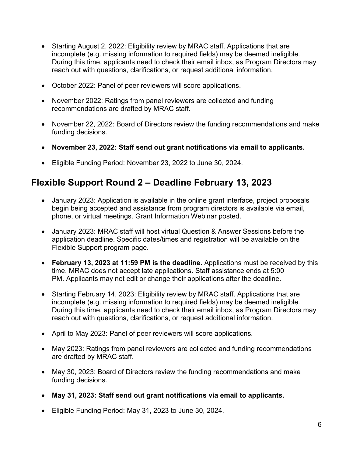- Starting August 2, 2022: Eligibility review by MRAC staff. Applications that are incomplete (e.g. missing information to required fields) may be deemed ineligible. During this time, applicants need to check their email inbox, as Program Directors may reach out with questions, clarifications, or request additional information.
- October 2022: Panel of peer reviewers will score applications.
- November 2022: Ratings from panel reviewers are collected and funding recommendations are drafted by MRAC staff.
- November 22, 2022: Board of Directors review the funding recommendations and make funding decisions.
- **November 23, 2022: Staff send out grant notifications via email to applicants.**
- Eligible Funding Period: November 23, 2022 to June 30, 2024.

#### **Flexible Support Round 2 – Deadline February 13, 2023**

- January 2023: Application is available in the online grant interface, project proposals begin being accepted and assistance from program directors is available via email, phone, or virtual meetings. Grant Information Webinar posted.
- January 2023: MRAC staff will host virtual Question & Answer Sessions before the application deadline. Specific dates/times and registration will be available on the Flexible Support program page.
- **February 13, 2023 at 11:59 PM is the deadline.** Applications must be received by this time. MRAC does not accept late applications. Staff assistance ends at 5:00 PM. Applicants may not edit or change their applications after the deadline.
- Starting February 14, 2023: Eligibility review by MRAC staff. Applications that are incomplete (e.g. missing information to required fields) may be deemed ineligible. During this time, applicants need to check their email inbox, as Program Directors may reach out with questions, clarifications, or request additional information.
- April to May 2023: Panel of peer reviewers will score applications.
- May 2023: Ratings from panel reviewers are collected and funding recommendations are drafted by MRAC staff.
- May 30, 2023: Board of Directors review the funding recommendations and make funding decisions.
- **May 31, 2023: Staff send out grant notifications via email to applicants.**
- Eligible Funding Period: May 31, 2023 to June 30, 2024.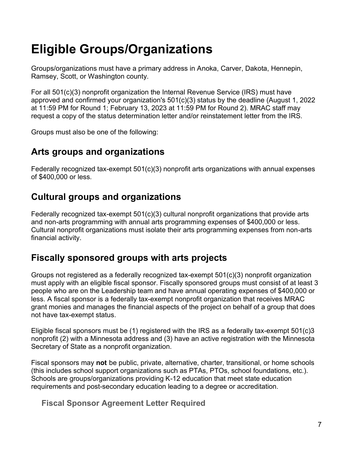# <span id="page-6-0"></span>**Eligible Groups/Organizations**

Groups/organizations must have a primary address in Anoka, Carver, Dakota, Hennepin, Ramsey, Scott, or Washington county.

For all 501(c)(3) nonprofit organization the Internal Revenue Service (IRS) must have approved and confirmed your organization's 501(c)(3) status by the deadline (August 1, 2022 at 11:59 PM for Round 1; February 13, 2023 at 11:59 PM for Round 2). MRAC staff may request a copy of the status determination letter and/or reinstatement letter from the IRS.

Groups must also be one of the following:

#### **Arts groups and organizations**

Federally recognized tax-exempt 501(c)(3) nonprofit arts organizations with annual expenses of \$400,000 or less.

#### **Cultural groups and organizations**

Federally recognized tax-exempt 501(c)(3) cultural nonprofit organizations that provide arts and non-arts programming with annual arts programming expenses of \$400,000 or less. Cultural nonprofit organizations must isolate their arts programming expenses from non-arts financial activity.

#### <span id="page-6-1"></span>**Fiscally sponsored groups with arts projects**

Groups not registered as a federally recognized tax-exempt 501(c)(3) nonprofit organization must apply with an eligible fiscal sponsor. Fiscally sponsored groups must consist of at least 3 people who are on the Leadership team and have annual operating expenses of \$400,000 or less. A fiscal sponsor is a federally tax-exempt nonprofit organization that receives MRAC grant monies and manages the financial aspects of the project on behalf of a group that does not have tax-exempt status.

Eligible fiscal sponsors must be (1) registered with the IRS as a federally tax-exempt 501(c)3 nonprofit (2) with a Minnesota address and (3) have an active registration with the Minnesota Secretary of State as a nonprofit organization.

Fiscal sponsors may **not** be public, private, alternative, charter, transitional, or home schools (this includes school support organizations such as PTAs, PTOs, school foundations, etc.). Schools are groups/organizations providing K-12 education that meet state education requirements and post-secondary education leading to a degree or accreditation.

**Fiscal Sponsor Agreement Letter Required**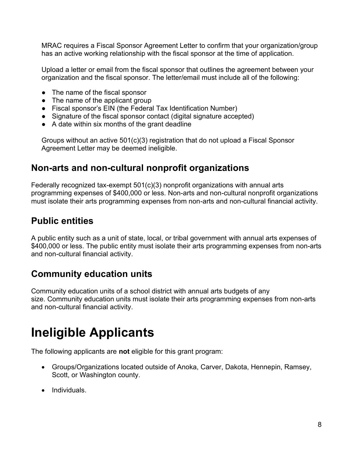MRAC requires a Fiscal Sponsor Agreement Letter to confirm that your organization/group has an active working relationship with the fiscal sponsor at the time of application.

Upload a letter or email from the fiscal sponsor that outlines the agreement between your organization and the fiscal sponsor. The letter/email must include all of the following:

- The name of the fiscal sponsor
- The name of the applicant group
- Fiscal sponsor's EIN (the Federal Tax Identification Number)
- Signature of the fiscal sponsor contact (digital signature accepted)
- A date within six months of the grant deadline

Groups without an active 501(c)(3) registration that do not upload a Fiscal Sponsor Agreement Letter may be deemed ineligible.

#### **Non-arts and non-cultural nonprofit organizations**

Federally recognized tax-exempt 501(c)(3) nonprofit organizations with annual arts programming expenses of \$400,000 or less. Non-arts and non-cultural nonprofit organizations must isolate their arts programming expenses from non-arts and non-cultural financial activity.

#### **Public entities**

A public entity such as a unit of state, local, or tribal government with annual arts expenses of \$400,000 or less. The public entity must isolate their arts programming expenses from non-arts and non-cultural financial activity.

#### **Community education units**

Community education units of a school district with annual arts budgets of any size. Community education units must isolate their arts programming expenses from non-arts and non-cultural financial activity.

# <span id="page-7-0"></span>**Ineligible Applicants**

The following applicants are **not** eligible for this grant program:

- Groups/Organizations located outside of Anoka, Carver, Dakota, Hennepin, Ramsey, Scott, or Washington county.
- Individuals.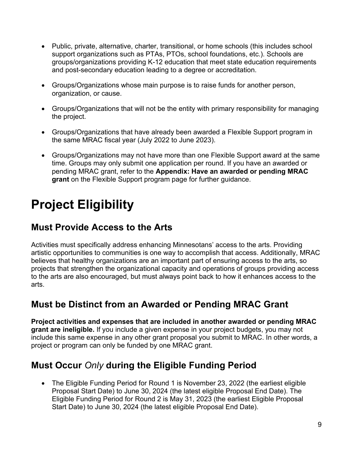- Public, private, alternative, charter, transitional, or home schools (this includes school support organizations such as PTAs, PTOs, school foundations, etc.). Schools are groups/organizations providing K-12 education that meet state education requirements and post-secondary education leading to a degree or accreditation.
- Groups/Organizations whose main purpose is to raise funds for another person, organization, or cause.
- Groups/Organizations that will not be the entity with primary responsibility for managing the project.
- Groups/Organizations that have already been awarded a Flexible Support program in the same MRAC fiscal year (July 2022 to June 2023).
- <span id="page-8-0"></span>• Groups/Organizations may not have more than one Flexible Support award at the same time. Groups may only submit one application per round. If you have an awarded or pending MRAC grant, refer to the **Appendix: Have an awarded or pending MRAC grant** on the Flexible Support program page for further guidance.

# <span id="page-8-1"></span>**Project Eligibility**

### **Must Provide Access to the Arts**

Activities must specifically address enhancing Minnesotans' access to the arts. Providing artistic opportunities to communities is one way to accomplish that access. Additionally, MRAC believes that healthy organizations are an important part of ensuring access to the arts, so projects that strengthen the organizational capacity and operations of groups providing access to the arts are also encouraged, but must always point back to how it enhances access to the arts.

### **Must be Distinct from an Awarded or Pending MRAC Grant**

**Project activities and expenses that are included in another awarded or pending MRAC grant are ineligible.** If you include a given expense in your project budgets, you may not include this same expense in any other grant proposal you submit to MRAC. In other words, a project or program can only be funded by one MRAC grant.

### **Must Occur** *Only* **during the Eligible Funding Period**

• The Eligible Funding Period for Round 1 is November 23, 2022 (the earliest eligible Proposal Start Date) to June 30, 2024 (the latest eligible Proposal End Date). The Eligible Funding Period for Round 2 is May 31, 2023 (the earliest Eligible Proposal Start Date) to June 30, 2024 (the latest eligible Proposal End Date).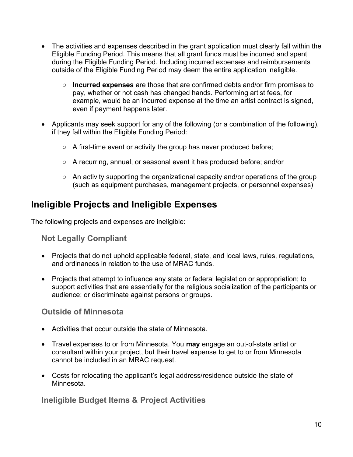- The activities and expenses described in the grant application must clearly fall within the Eligible Funding Period. This means that all grant funds must be incurred and spent during the Eligible Funding Period. Including incurred expenses and reimbursements outside of the Eligible Funding Period may deem the entire application ineligible.
	- **Incurred expenses** are those that are confirmed debts and/or firm promises to pay, whether or not cash has changed hands. Performing artist fees, for example, would be an incurred expense at the time an artist contract is signed, even if payment happens later.
- Applicants may seek support for any of the following (or a combination of the following), if they fall within the Eligible Funding Period:
	- A first-time event or activity the group has never produced before;
	- A recurring, annual, or seasonal event it has produced before; and/or
	- An activity supporting the organizational capacity and/or operations of the group (such as equipment purchases, management projects, or personnel expenses)

#### <span id="page-9-0"></span>**Ineligible Projects and Ineligible Expenses**

The following projects and expenses are ineligible:

**Not Legally Compliant**

- Projects that do not uphold applicable federal, state, and local laws, rules, regulations, and ordinances in relation to the use of MRAC funds.
- Projects that attempt to influence any state or federal legislation or appropriation; to support activities that are essentially for the religious socialization of the participants or audience; or discriminate against persons or groups.

**Outside of Minnesota**

- Activities that occur outside the state of Minnesota.
- Travel expenses to or from Minnesota. You **may** engage an out-of-state artist or consultant within your project, but their travel expense to get to or from Minnesota cannot be included in an MRAC request.
- Costs for relocating the applicant's legal address/residence outside the state of Minnesota.

**Ineligible Budget Items & Project Activities**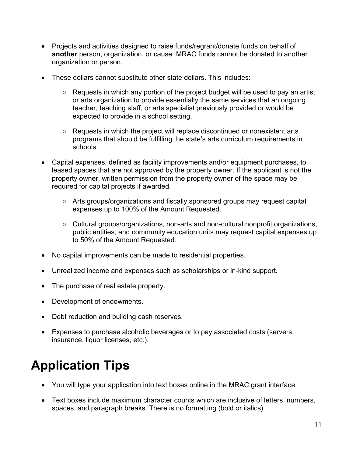- Projects and activities designed to raise funds/regrant/donate funds on behalf of **another** person, organization, or cause. MRAC funds cannot be donated to another organization or person.
- These dollars cannot substitute other state dollars. This includes:
	- Requests in which any portion of the project budget will be used to pay an artist or arts organization to provide essentially the same services that an ongoing teacher, teaching staff, or arts specialist previously provided or would be expected to provide in a school setting.
	- $\circ$  Requests in which the project will replace discontinued or nonexistent arts programs that should be fulfilling the state's arts curriculum requirements in schools.
- Capital expenses, defined as facility improvements and/or equipment purchases, to leased spaces that are not approved by the property owner. If the applicant is not the property owner, written permission from the property owner of the space may be required for capital projects if awarded.
	- Arts groups/organizations and fiscally sponsored groups may request capital expenses up to 100% of the Amount Requested.
	- Cultural groups/organizations, non-arts and non-cultural nonprofit organizations, public entities, and community education units may request capital expenses up to 50% of the Amount Requested.
- No capital improvements can be made to residential properties.
- Unrealized income and expenses such as scholarships or in-kind support.
- The purchase of real estate property.
- Development of endowments.
- Debt reduction and building cash reserves.
- Expenses to purchase alcoholic beverages or to pay associated costs (servers, insurance, liquor licenses, etc.).

# <span id="page-10-0"></span>**Application Tips**

- You will type your application into text boxes online in the MRAC grant interface.
- Text boxes include maximum character counts which are inclusive of letters, numbers, spaces, and paragraph breaks. There is no formatting (bold or italics).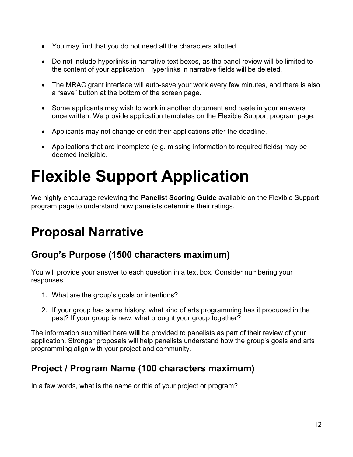- You may find that you do not need all the characters allotted.
- Do not include hyperlinks in narrative text boxes, as the panel review will be limited to the content of your application. Hyperlinks in narrative fields will be deleted.
- The MRAC grant interface will auto-save your work every few minutes, and there is also a "save" button at the bottom of the screen page.
- Some applicants may wish to work in another document and paste in your answers once written. We provide application templates on the Flexible Support program page.
- Applicants may not change or edit their applications after the deadline.
- Applications that are incomplete (e.g. missing information to required fields) may be deemed ineligible.

# <span id="page-11-0"></span>**Flexible Support Application**

We highly encourage reviewing the **Panelist Scoring Guide** available on the Flexible Support program page to understand how panelists determine their ratings.

# <span id="page-11-1"></span>**Proposal Narrative**

#### **Group's Purpose (1500 characters maximum)**

You will provide your answer to each question in a text box. Consider numbering your responses.

- 1. What are the group's goals or intentions?
- 2. If your group has some history, what kind of arts programming has it produced in the past? If your group is new, what brought your group together?

The information submitted here **will** be provided to panelists as part of their review of your application. Stronger proposals will help panelists understand how the group's goals and arts programming align with your project and community.

### **Project / Program Name (100 characters maximum)**

In a few words, what is the name or title of your project or program?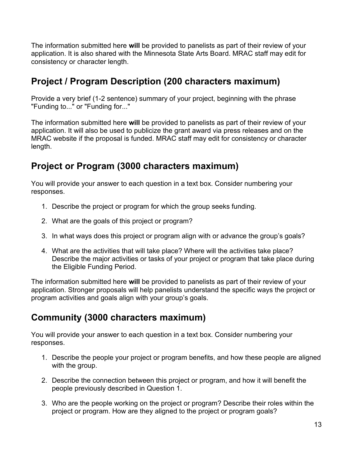The information submitted here **will** be provided to panelists as part of their review of your application. It is also shared with the Minnesota State Arts Board. MRAC staff may edit for consistency or character length.

#### **Project / Program Description (200 characters maximum)**

Provide a very brief (1-2 sentence) summary of your project, beginning with the phrase "Funding to..." or "Funding for..."

The information submitted here **will** be provided to panelists as part of their review of your application. It will also be used to publicize the grant award via press releases and on the MRAC website if the proposal is funded. MRAC staff may edit for consistency or character length.

#### **Project or Program (3000 characters maximum)**

You will provide your answer to each question in a text box. Consider numbering your responses.

- 1. Describe the project or program for which the group seeks funding.
- 2. What are the goals of this project or program?
- 3. In what ways does this project or program align with or advance the group's goals?
- 4. What are the activities that will take place? Where will the activities take place? Describe the major activities or tasks of your project or program that take place during the Eligible Funding Period.

The information submitted here **will** be provided to panelists as part of their review of your application. Stronger proposals will help panelists understand the specific ways the project or program activities and goals align with your group's goals.

#### **Community (3000 characters maximum)**

You will provide your answer to each question in a text box. Consider numbering your responses.

- 1. Describe the people your project or program benefits, and how these people are aligned with the group.
- 2. Describe the connection between this project or program, and how it will benefit the people previously described in Question 1.
- 3. Who are the people working on the project or program? Describe their roles within the project or program. How are they aligned to the project or program goals?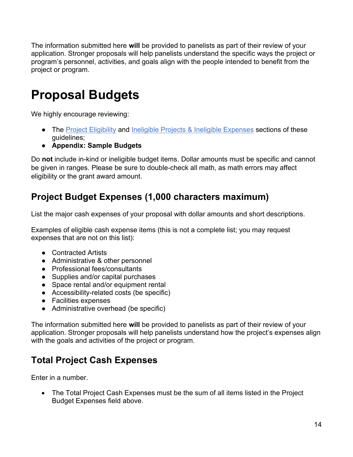The information submitted here **will** be provided to panelists as part of their review of your application. Stronger proposals will help panelists understand the specific ways the project or program's personnel, activities, and goals align with the people intended to benefit from the project or program.

# <span id="page-13-0"></span>**Proposal Budgets**

We highly encourage reviewing:

- The [Project Eligibility](#page-8-1) and [Ineligible Projects & Ineligible Expenses](#page-9-0) sections of these guidelines;
- **Appendix: Sample Budgets**

Do **not** include in-kind or ineligible budget items. Dollar amounts must be specific and cannot be given in ranges. Please be sure to double-check all math, as math errors may affect eligibility or the grant award amount.

### **Project Budget Expenses (1,000 characters maximum)**

List the major cash expenses of your proposal with dollar amounts and short descriptions.

Examples of eligible cash expense items (this is not a complete list; you may request expenses that are not on this list):

- Contracted Artists
- Administrative & other personnel
- Professional fees/consultants
- Supplies and/or capital purchases
- Space rental and/or equipment rental
- Accessibility-related costs (be specific)
- Facilities expenses
- Administrative overhead (be specific)

The information submitted here **will** be provided to panelists as part of their review of your application. Stronger proposals will help panelists understand how the project's expenses align with the goals and activities of the project or program.

### **Total Project Cash Expenses**

Enter in a number.

• The Total Project Cash Expenses must be the sum of all items listed in the Project Budget Expenses field above.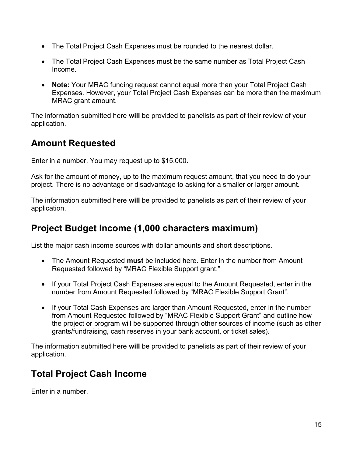- The Total Project Cash Expenses must be rounded to the nearest dollar.
- The Total Project Cash Expenses must be the same number as Total Project Cash Income.
- **Note:** Your MRAC funding request cannot equal more than your Total Project Cash Expenses. However, your Total Project Cash Expenses can be more than the maximum MRAC grant amount.

The information submitted here **will** be provided to panelists as part of their review of your application.

#### **Amount Requested**

Enter in a number. You may request up to \$15,000.

Ask for the amount of money, up to the maximum request amount, that you need to do your project. There is no advantage or disadvantage to asking for a smaller or larger amount.

The information submitted here **will** be provided to panelists as part of their review of your application.

#### **Project Budget Income (1,000 characters maximum)**

List the major cash income sources with dollar amounts and short descriptions.

- The Amount Requested **must** be included here. Enter in the number from Amount Requested followed by "MRAC Flexible Support grant."
- If your Total Project Cash Expenses are equal to the Amount Requested, enter in the number from Amount Requested followed by "MRAC Flexible Support Grant".
- If your Total Cash Expenses are larger than Amount Requested, enter in the number from Amount Requested followed by "MRAC Flexible Support Grant" and outline how the project or program will be supported through other sources of income (such as other grants/fundraising, cash reserves in your bank account, or ticket sales).

The information submitted here **will** be provided to panelists as part of their review of your application.

### **Total Project Cash Income**

Enter in a number.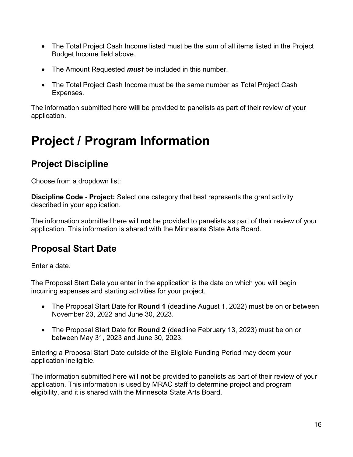- The Total Project Cash Income listed must be the sum of all items listed in the Project Budget Income field above.
- The Amount Requested *must* be included in this number.
- The Total Project Cash Income must be the same number as Total Project Cash Expenses.

The information submitted here **will** be provided to panelists as part of their review of your application.

# <span id="page-15-0"></span>**Project / Program Information**

### **Project Discipline**

Choose from a dropdown list:

**Discipline Code - Project:** Select one category that best represents the grant activity described in your application.

The information submitted here will **not** be provided to panelists as part of their review of your application. This information is shared with the Minnesota State Arts Board*.*

#### **Proposal Start Date**

Enter a date.

The Proposal Start Date you enter in the application is the date on which you will begin incurring expenses and starting activities for your project.

- The Proposal Start Date for **Round 1** (deadline August 1, 2022) must be on or between November 23, 2022 and June 30, 2023.
- The Proposal Start Date for **Round 2** (deadline February 13, 2023) must be on or between May 31, 2023 and June 30, 2023.

Entering a Proposal Start Date outside of the Eligible Funding Period may deem your application ineligible.

The information submitted here will **not** be provided to panelists as part of their review of your application. This information is used by MRAC staff to determine project and program eligibility, and it is shared with the Minnesota State Arts Board.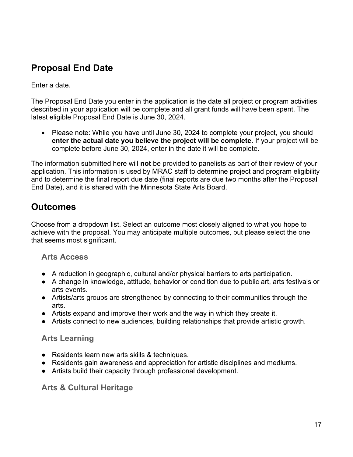### **Proposal End Date**

Enter a date.

The Proposal End Date you enter in the application is the date all project or program activities described in your application will be complete and all grant funds will have been spent. The latest eligible Proposal End Date is June 30, 2024.

• Please note: While you have until June 30, 2024 to complete your project, you should **enter the actual date you believe the project will be complete**. If your project will be complete before June 30, 2024, enter in the date it will be complete.

The information submitted here will **not** be provided to panelists as part of their review of your application. This information is used by MRAC staff to determine project and program eligibility and to determine the final report due date (final reports are due two months after the Proposal End Date), and it is shared with the Minnesota State Arts Board.

### **Outcomes**

Choose from a dropdown list. Select an outcome most closely aligned to what you hope to achieve with the proposal. You may anticipate multiple outcomes, but please select the one that seems most significant.

#### **Arts Access**

- A reduction in geographic, cultural and/or physical barriers to arts participation.
- A change in knowledge, attitude, behavior or condition due to public art, arts festivals or arts events.
- Artists/arts groups are strengthened by connecting to their communities through the arts.
- Artists expand and improve their work and the way in which they create it.
- Artists connect to new audiences, building relationships that provide artistic growth.

#### **Arts Learning**

- Residents learn new arts skills & techniques.
- Residents gain awareness and appreciation for artistic disciplines and mediums.
- Artists build their capacity through professional development.

#### **Arts & Cultural Heritage**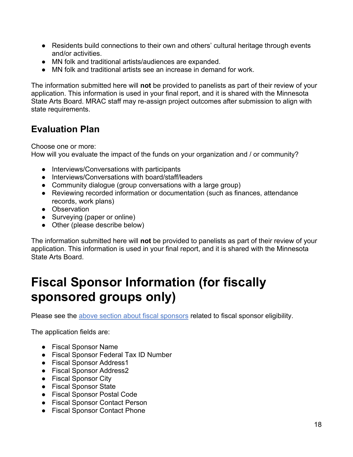- Residents build connections to their own and others' cultural heritage through events and/or activities.
- MN folk and traditional artists/audiences are expanded.
- MN folk and traditional artists see an increase in demand for work.

The information submitted here will **not** be provided to panelists as part of their review of your application. This information is used in your final report, and it is shared with the Minnesota State Arts Board. MRAC staff may re-assign project outcomes after submission to align with state requirements.

### **Evaluation Plan**

Choose one or more:

How will you evaluate the impact of the funds on your organization and / or community?

- Interviews/Conversations with participants
- Interviews/Conversations with board/staff/leaders
- Community dialogue (group conversations with a large group)
- Reviewing recorded information or documentation (such as finances, attendance records, work plans)
- Observation
- Surveying (paper or online)
- Other (please describe below)

The information submitted here will **not** be provided to panelists as part of their review of your application. This information is used in your final report, and it is shared with the Minnesota State Arts Board.

# <span id="page-17-0"></span>**Fiscal Sponsor Information (for fiscally sponsored groups only)**

Please see the [above section about fiscal sponsors](#page-6-1) related to fiscal sponsor eligibility.

The application fields are:

- Fiscal Sponsor Name
- Fiscal Sponsor Federal Tax ID Number
- Fiscal Sponsor Address1
- Fiscal Sponsor Address2
- Fiscal Sponsor City
- Fiscal Sponsor State
- Fiscal Sponsor Postal Code
- Fiscal Sponsor Contact Person
- Fiscal Sponsor Contact Phone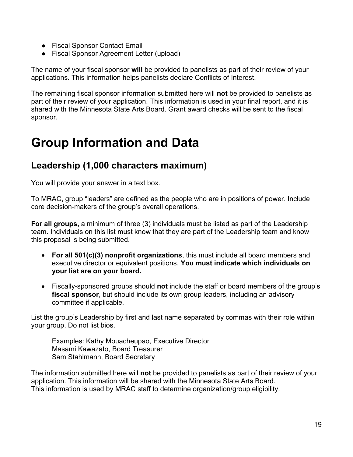- Fiscal Sponsor Contact Email
- Fiscal Sponsor Agreement Letter (upload)

The name of your fiscal sponsor **will** be provided to panelists as part of their review of your applications. This information helps panelists declare Conflicts of Interest.

The remaining fiscal sponsor information submitted here will **not** be provided to panelists as part of their review of your application. This information is used in your final report, and it is shared with the Minnesota State Arts Board. Grant award checks will be sent to the fiscal sponsor.

### <span id="page-18-0"></span>**Group Information and Data**

#### **Leadership (1,000 characters maximum)**

You will provide your answer in a text box.

To MRAC, group "leaders" are defined as the people who are in positions of power. Include core decision-makers of the group's overall operations.

**For all groups,** a minimum of three (3) individuals must be listed as part of the Leadership team. Individuals on this list must know that they are part of the Leadership team and know this proposal is being submitted.

- **For all 501(c)(3) nonprofit organizations**, this must include all board members and executive director or equivalent positions. **You must indicate which individuals on your list are on your board.**
- Fiscally-sponsored groups should **not** include the staff or board members of the group's **fiscal sponsor**, but should include its own group leaders, including an advisory committee if applicable.

List the group's Leadership by first and last name separated by commas with their role within your group. Do not list bios.

Examples: Kathy Mouacheupao, Executive Director Masami Kawazato, Board Treasurer Sam Stahlmann, Board Secretary

The information submitted here will **not** be provided to panelists as part of their review of your application. This information will be shared with the Minnesota State Arts Board. This information is used by MRAC staff to determine organization/group eligibility.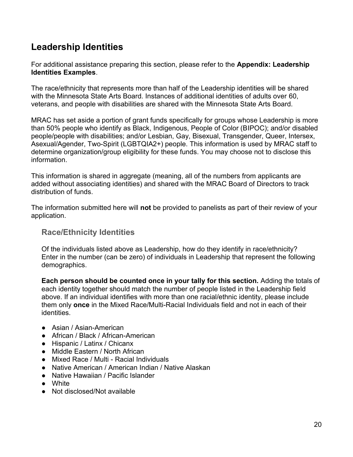#### **Leadership Identities**

For additional assistance preparing this section, please refer to the **Appendix: Leadership Identities Examples**.

The race/ethnicity that represents more than half of the Leadership identities will be shared with the Minnesota State Arts Board. Instances of additional identities of adults over 60, veterans, and people with disabilities are shared with the Minnesota State Arts Board.

MRAC has set aside a portion of grant funds specifically for groups whose Leadership is more than 50% people who identify as Black, Indigenous, People of Color (BIPOC); and/or disabled people/people with disabilities; and/or Lesbian, Gay, Bisexual, Transgender, Queer, Intersex, Asexual/Agender, Two-Spirit (LGBTQIA2+) people. This information is used by MRAC staff to determine organization/group eligibility for these funds. You may choose not to disclose this information.

This information is shared in aggregate (meaning, all of the numbers from applicants are added without associating identities) and shared with the MRAC Board of Directors to track distribution of funds.

The information submitted here will **not** be provided to panelists as part of their review of your application.

#### **Race/Ethnicity Identities**

Of the individuals listed above as Leadership, how do they identify in race/ethnicity? Enter in the number (can be zero) of individuals in Leadership that represent the following demographics.

**Each person should be counted once in your tally for this section.** Adding the totals of each identity together should match the number of people listed in the Leadership field above. If an individual identifies with more than one racial/ethnic identity, please include them only **once** in the Mixed Race/Multi-Racial Individuals field and not in each of their identities.

- Asian / Asian-American
- African / Black / African-American
- Hispanic / Latinx / Chicanx
- Middle Eastern / North African
- Mixed Race / Multi Racial Individuals
- Native American / American Indian / Native Alaskan
- Native Hawaiian / Pacific Islander
- White
- Not disclosed/Not available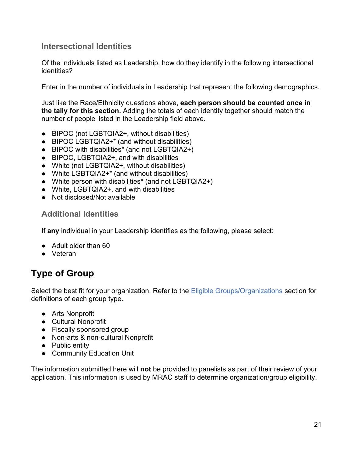#### **Intersectional Identities**

Of the individuals listed as Leadership, how do they identify in the following intersectional identities?

Enter in the number of individuals in Leadership that represent the following demographics.

Just like the Race/Ethnicity questions above, **each person should be counted once in the tally for this section.** Adding the totals of each identity together should match the number of people listed in the Leadership field above.

- BIPOC (not LGBTQIA2+, without disabilities)
- BIPOC LGBTQIA2+<sup>\*</sup> (and without disabilities)
- BIPOC with disabilities\* (and not LGBTQIA2+)
- BIPOC, LGBTQIA2+, and with disabilities
- White (not LGBTQIA2+, without disabilities)
- White LGBTQIA2+\* (and without disabilities)
- White person with disabilities\* (and not LGBTQIA2+)
- White, LGBTQIA2+, and with disabilities
- Not disclosed/Not available

#### **Additional Identities**

If **any** individual in your Leadership identifies as the following, please select:

- Adult older than 60
- Veteran

### **Type of Group**

Select the best fit for your organization. Refer to the [Eligible Groups/Organizations](#page-6-0) section for definitions of each group type.

- Arts Nonprofit
- Cultural Nonprofit
- Fiscally sponsored group
- Non-arts & non-cultural Nonprofit
- Public entity
- Community Education Unit

The information submitted here will **not** be provided to panelists as part of their review of your application. This information is used by MRAC staff to determine organization/group eligibility.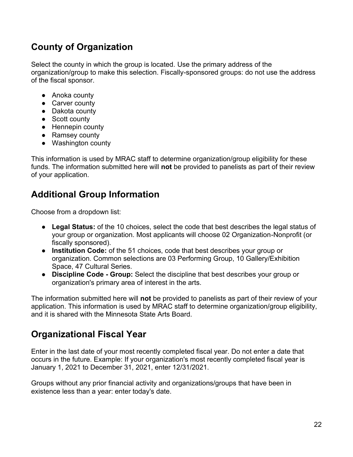### **County of Organization**

Select the county in which the group is located. Use the primary address of the organization/group to make this selection. Fiscally-sponsored groups: do not use the address of the fiscal sponsor.

- Anoka county
- Carver county
- Dakota county
- Scott county
- Hennepin county
- Ramsey county
- Washington county

This information is used by MRAC staff to determine organization/group eligibility for these funds. The information submitted here will **not** be provided to panelists as part of their review of your application.

### **Additional Group Information**

Choose from a dropdown list:

- **Legal Status:** of the 10 choices, select the code that best describes the legal status of your group or organization. Most applicants will choose 02 Organization-Nonprofit (or fiscally sponsored).
- **Institution Code:** of the 51 choices, code that best describes your group or organization. Common selections are 03 Performing Group, 10 Gallery/Exhibition Space, 47 Cultural Series.
- **Discipline Code - Group:** Select the discipline that best describes your group or organization's primary area of interest in the arts.

The information submitted here will **not** be provided to panelists as part of their review of your application. This information is used by MRAC staff to determine organization/group eligibility, and it is shared with the Minnesota State Arts Board.

### **Organizational Fiscal Year**

Enter in the last date of your most recently completed fiscal year. Do not enter a date that occurs in the future. Example: If your organization's most recently completed fiscal year is January 1, 2021 to December 31, 2021, enter 12/31/2021.

Groups without any prior financial activity and organizations/groups that have been in existence less than a year: enter today's date.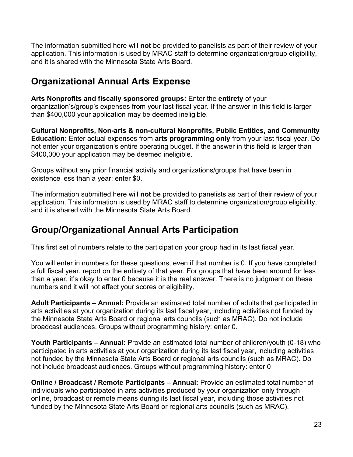The information submitted here will **not** be provided to panelists as part of their review of your application. This information is used by MRAC staff to determine organization/group eligibility, and it is shared with the Minnesota State Arts Board.

#### **Organizational Annual Arts Expense**

**Arts Nonprofits and fiscally sponsored groups:** Enter the **entirety** of your

organization's/group's expenses from your last fiscal year. If the answer in this field is larger than \$400,000 your application may be deemed ineligible.

**Cultural Nonprofits, Non-arts & non-cultural Nonprofits, Public Entities, and Community Education:** Enter actual expenses from **arts programming only** from your last fiscal year. Do not enter your organization's entire operating budget. If the answer in this field is larger than \$400,000 your application may be deemed ineligible.

Groups without any prior financial activity and organizations/groups that have been in existence less than a year: enter \$0.

The information submitted here will **not** be provided to panelists as part of their review of your application. This information is used by MRAC staff to determine organization/group eligibility, and it is shared with the Minnesota State Arts Board.

#### **Group/Organizational Annual Arts Participation**

This first set of numbers relate to the participation your group had in its last fiscal year.

You will enter in numbers for these questions, even if that number is 0. If you have completed a full fiscal year, report on the entirety of that year. For groups that have been around for less than a year, it's okay to enter 0 because it is the real answer. There is no judgment on these numbers and it will not affect your scores or eligibility.

**Adult Participants – Annual:** Provide an estimated total number of adults that participated in arts activities at your organization during its last fiscal year, including activities not funded by the Minnesota State Arts Board or regional arts councils (such as MRAC). Do not include broadcast audiences. Groups without programming history: enter 0.

**Youth Participants – Annual:** Provide an estimated total number of children/youth (0-18) who participated in arts activities at your organization during its last fiscal year, including activities not funded by the Minnesota State Arts Board or regional arts councils (such as MRAC). Do not include broadcast audiences. Groups without programming history: enter 0

**Online / Broadcast / Remote Participants – Annual:** Provide an estimated total number of individuals who participated in arts activities produced by your organization only through online, broadcast or remote means during its last fiscal year, including those activities not funded by the Minnesota State Arts Board or regional arts councils (such as MRAC).